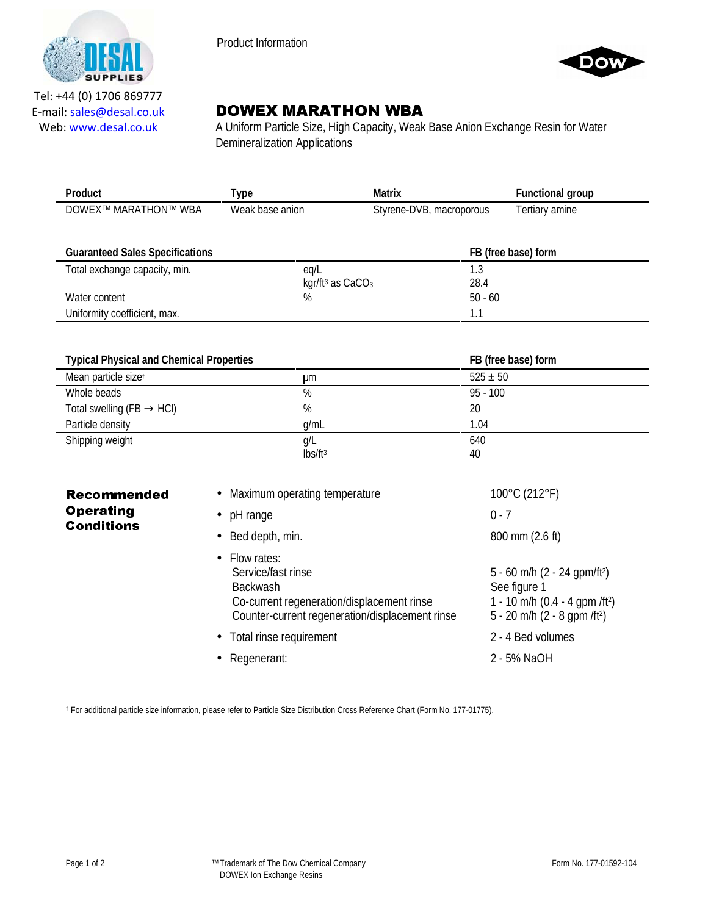

Product Information



Tel: +44 (0) 1706 869777 E‐mail: sales@desal.co.uk Web: www.desal.co.uk

# DOWEX MARATHON WBA

A Uniform Particle Size, High Capacity, Weak Base Anion Exchange Resin for Water Demineralization Applications

|                                                   | ۷n                               | 11                               | arour             |
|---------------------------------------------------|----------------------------------|----------------------------------|-------------------|
| WBA<br>)WF<br><b>INLIN</b><br>М.<br>⊺ IVI<br>MARA | .<br><b>Wea</b><br>anion<br>hase | macroporous<br>stvrene-L<br>·DVB | amine<br>, lidi ' |

| <b>Guaranteed Sales Specifications</b> |                                | FB (free base) form |
|----------------------------------------|--------------------------------|---------------------|
| Total exchange capacity, min.          | eg/L                           |                     |
|                                        | kgr/ft <sup>3</sup> as $CaCO3$ | 28.4                |
| Water content                          | %                              | $50 - 60$           |
| Uniformity coefficient, max.           |                                |                     |

| <b>Typical Physical and Chemical Properties</b> |                     | FB (free base) form |  |
|-------------------------------------------------|---------------------|---------------------|--|
| Mean particle sizet                             | um                  | $525 \pm 50$        |  |
| Whole beads                                     | %                   | $95 - 100$          |  |
| Total swelling (FB $\rightarrow$ HCl)           | %                   | 20                  |  |
| Particle density                                | q/mL                | 1.04                |  |
| Shipping weight                                 | g/L                 | 640                 |  |
|                                                 | lbs/ft <sup>3</sup> | 40                  |  |

| <b>Recommended</b><br><b>Operating</b><br><b>Conditions</b> | • Maximum operating temperature                                                                                                                          | 100°C (212°F)                                                                                                                                        |
|-------------------------------------------------------------|----------------------------------------------------------------------------------------------------------------------------------------------------------|------------------------------------------------------------------------------------------------------------------------------------------------------|
|                                                             | $\bullet$ pH range                                                                                                                                       | $0 - 7$                                                                                                                                              |
|                                                             | $\bullet$ Bed depth, min.                                                                                                                                | 800 mm (2.6 ft)                                                                                                                                      |
|                                                             | $\bullet$ Flow rates:<br>Service/fast rinse<br>Backwash<br>Co-current regeneration/displacement rinse<br>Counter-current regeneration/displacement rinse | 5 - 60 m/h $(2 - 24$ qpm/ft <sup>2</sup> )<br>See figure 1<br>1 - 10 m/h (0.4 - 4 gpm /ft <sup>2</sup> )<br>5 - 20 m/h (2 - 8 gpm /ft <sup>2</sup> ) |
|                                                             | • Total rinse requirement                                                                                                                                | 2 - 4 Bed volumes                                                                                                                                    |
|                                                             | • Regenerant:                                                                                                                                            | 2 - 5% NaOH                                                                                                                                          |

† For additional particle size information, please refer to Particle Size Distribution Cross Reference Chart (Form No. 177-01775).